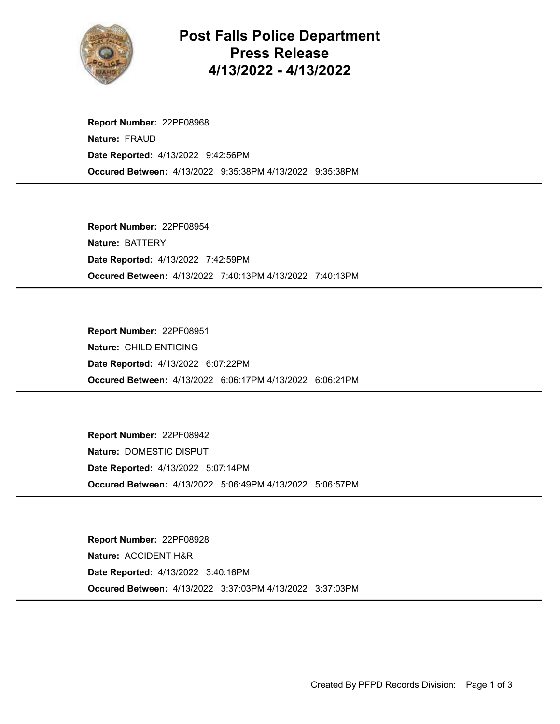

## Post Falls Police Department Press Release 4/13/2022 - 4/13/2022

Occured Between: 4/13/2022 9:35:38PM,4/13/2022 9:35:38PM Report Number: 22PF08968 Nature: FRAUD Date Reported: 4/13/2022 9:42:56PM

Occured Between: 4/13/2022 7:40:13PM,4/13/2022 7:40:13PM Report Number: 22PF08954 Nature: BATTERY Date Reported: 4/13/2022 7:42:59PM

Occured Between: 4/13/2022 6:06:17PM,4/13/2022 6:06:21PM Report Number: 22PF08951 Nature: CHILD ENTICING Date Reported: 4/13/2022 6:07:22PM

Occured Between: 4/13/2022 5:06:49PM,4/13/2022 5:06:57PM Report Number: 22PF08942 Nature: DOMESTIC DISPUT Date Reported: 4/13/2022 5:07:14PM

Occured Between: 4/13/2022 3:37:03PM,4/13/2022 3:37:03PM Report Number: 22PF08928 Nature: ACCIDENT H&R Date Reported: 4/13/2022 3:40:16PM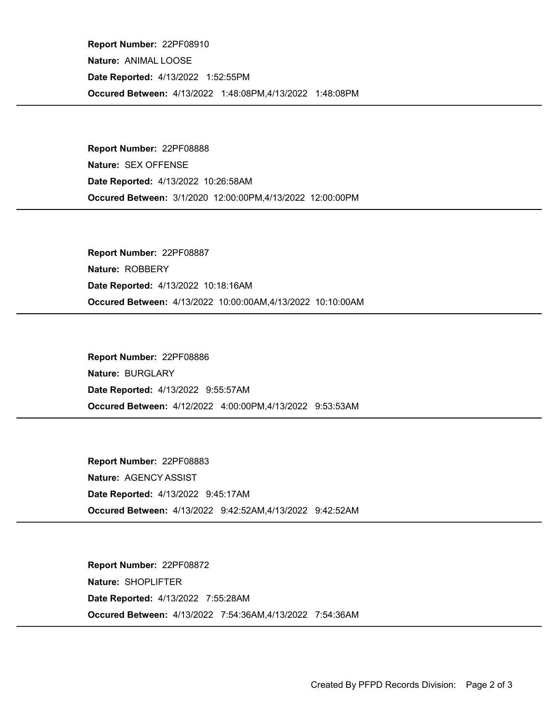Occured Between: 4/13/2022 1:48:08PM,4/13/2022 1:48:08PM Report Number: 22PF08910 Nature: ANIMAL LOOSE Date Reported: 4/13/2022 1:52:55PM

Occured Between: 3/1/2020 12:00:00PM,4/13/2022 12:00:00PM Report Number: 22PF08888 Nature: SEX OFFENSE Date Reported: 4/13/2022 10:26:58AM

Occured Between: 4/13/2022 10:00:00AM,4/13/2022 10:10:00AM Report Number: 22PF08887 Nature: ROBBERY Date Reported: 4/13/2022 10:18:16AM

Occured Between: 4/12/2022 4:00:00PM,4/13/2022 9:53:53AM Report Number: 22PF08886 Nature: BURGLARY Date Reported: 4/13/2022 9:55:57AM

Occured Between: 4/13/2022 9:42:52AM,4/13/2022 9:42:52AM Report Number: 22PF08883 Nature: AGENCY ASSIST Date Reported: 4/13/2022 9:45:17AM

Occured Between: 4/13/2022 7:54:36AM,4/13/2022 7:54:36AM Report Number: 22PF08872 Nature: SHOPLIFTER Date Reported: 4/13/2022 7:55:28AM